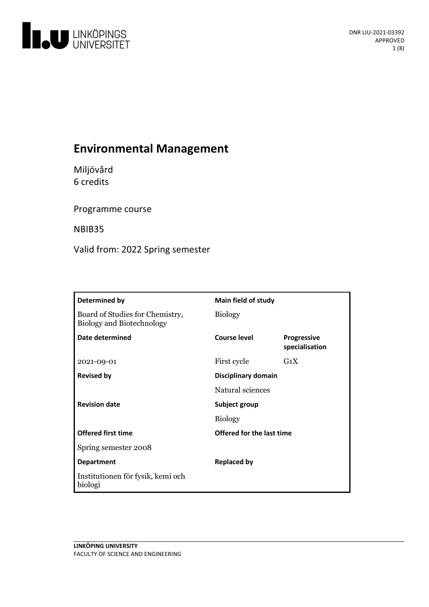

# **Environmental Management**

Miljövård 6 credits

Programme course

NBIB35

Valid from: 2022 Spring semester

| Determined by                                                       | Main field of study       |                                      |
|---------------------------------------------------------------------|---------------------------|--------------------------------------|
| Board of Studies for Chemistry,<br><b>Biology and Biotechnology</b> | <b>Biology</b>            |                                      |
| Date determined                                                     | Course level              | <b>Progressive</b><br>specialisation |
| 2021-09-01                                                          | First cycle               | $G_1X$                               |
| <b>Revised by</b>                                                   | Disciplinary domain       |                                      |
|                                                                     | Natural sciences          |                                      |
| <b>Revision date</b>                                                | Subject group             |                                      |
|                                                                     | <b>Biology</b>            |                                      |
| <b>Offered first time</b>                                           | Offered for the last time |                                      |
| Spring semester 2008                                                |                           |                                      |
| <b>Department</b>                                                   | <b>Replaced by</b>        |                                      |
| Institutionen för fysik, kemi och<br>biologi                        |                           |                                      |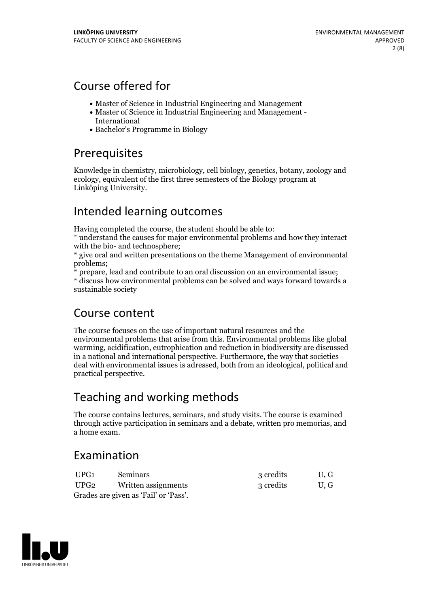## Course offered for

- Master of Science in Industrial Engineering and Management
- Master of Science in Industrial Engineering and Management International
- Bachelor's Programme in Biology

## Prerequisites

Knowledge in chemistry, microbiology, cell biology, genetics, botany, zoology and ecology, equivalent of the first three semesters of the Biology program at Linköping University.

## Intended learning outcomes

Having completed the course, the student should be able to: \* understand the causes for major environmental problems and how they interact

with the bio- and technosphere;<br>\* give oral and written presentations on the theme Management of environmental<br>problems;

 $*$  prepare, lead and contribute to an oral discussion on an environmental issue;  $*$  discuss how environmental problems can be solved and ways forward towards a sustainable society

## Course content

The course focuses on the use of important natural resources and the environmental problems that arise from this. Environmental problems like global warming, acidification, eutrophication and reduction in biodiversity are discussed in a national and international perspective. Furthermore, the way that societies deal with environmental issues is adressed, both from an ideological, political and practical perspective.

# Teaching and working methods

The course contains lectures, seminars, and study visits. The course is examined through active participation in seminars and a debate, written pro memorias, and a home exam.

## Examination

| UPG1 | <b>Seminars</b>                       | 3 credits | U.G |
|------|---------------------------------------|-----------|-----|
| UPG2 | Written assignments                   | 3 credits | U.G |
|      | Grades are given as 'Fail' or 'Pass'. |           |     |

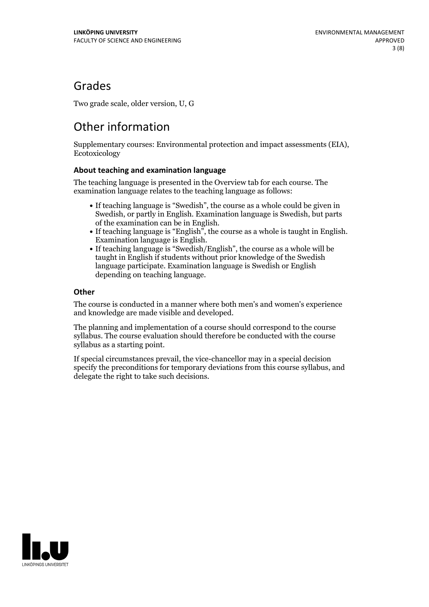## Grades

Two grade scale, older version, U, G

# Other information

Supplementary courses: Environmental protection and impact assessments (EIA), Ecotoxicology

### **About teaching and examination language**

The teaching language is presented in the Overview tab for each course. The examination language relates to the teaching language as follows:

- If teaching language is "Swedish", the course as a whole could be given in Swedish, or partly in English. Examination language is Swedish, but parts
- of the examination can be in English. If teaching language is "English", the course as <sup>a</sup> whole is taught in English. Examination language is English. If teaching language is "Swedish/English", the course as <sup>a</sup> whole will be
- taught in English if students without prior knowledge of the Swedish language participate. Examination language is Swedish or English depending on teaching language.

### **Other**

The course is conducted in a manner where both men's and women's experience and knowledge are made visible and developed.

The planning and implementation of a course should correspond to the course syllabus. The course evaluation should therefore be conducted with the course syllabus as a starting point.

If special circumstances prevail, the vice-chancellor may in a special decision specify the preconditions for temporary deviations from this course syllabus, and delegate the right to take such decisions.

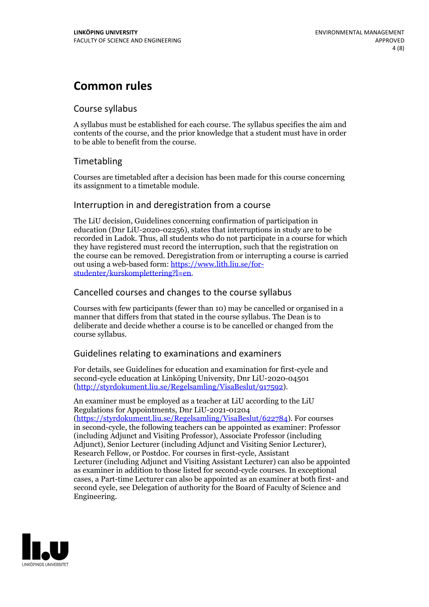## **Common rules**

### Course syllabus

A syllabus must be established for each course. The syllabus specifies the aim and contents of the course, and the prior knowledge that a student must have in order to be able to benefit from the course.

## Timetabling

Courses are timetabled after a decision has been made for this course concerning its assignment to a timetable module.

### Interruption in and deregistration from a course

The LiU decision, Guidelines concerning confirmation of participation in education (Dnr LiU-2020-02256), states that interruptions in study are to be recorded in Ladok. Thus, all students who do not participate in a course for which they have registered must record the interruption, such that the registration on the course can be removed. Deregistration from or interrupting a course is carried out using <sup>a</sup> web-based form: https://www.lith.liu.se/for- [studenter/kurskomplettering?l=en.](https://www.lith.liu.se/for-studenter/kurskomplettering?l=en)

## Cancelled courses and changes to the course syllabus

Courses with few participants (fewer than 10) may be cancelled or organised in a manner that differs from that stated in the course syllabus. The Dean is to deliberate and decide whether a course is to be cancelled or changed from the course syllabus.

## Guidelines relating to examinations and examiners

For details, see Guidelines for education and examination for first-cycle and second-cycle education at Linköping University, Dnr LiU-2020-04501 [\(http://styrdokument.liu.se/Regelsamling/VisaBeslut/917592\)](http://styrdokument.liu.se/Regelsamling/VisaBeslut/917592).

An examiner must be employed as a teacher at LiU according to the LiU Regulations for Appointments, Dnr LiU-2021-01204 [\(https://styrdokument.liu.se/Regelsamling/VisaBeslut/622784](https://styrdokument.liu.se/Regelsamling/VisaBeslut/622784)). For courses in second-cycle, the following teachers can be appointed as examiner: Professor (including Adjunct and Visiting Professor), Associate Professor (including Adjunct), Senior Lecturer (including Adjunct and Visiting Senior Lecturer), Research Fellow, or Postdoc. For courses in first-cycle, Assistant Lecturer (including Adjunct and Visiting Assistant Lecturer) can also be appointed as examiner in addition to those listed for second-cycle courses. In exceptional cases, a Part-time Lecturer can also be appointed as an examiner at both first- and second cycle, see Delegation of authority for the Board of Faculty of Science and Engineering.

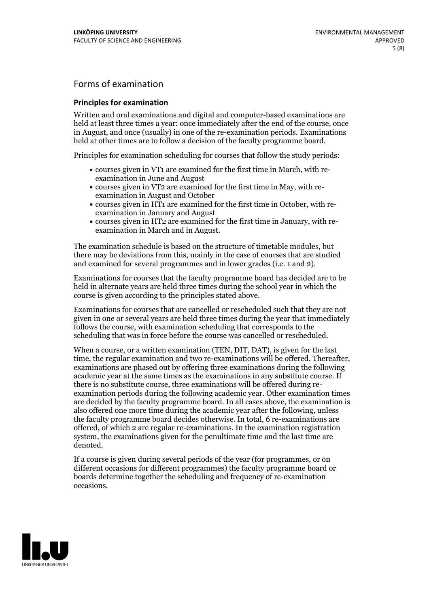## Forms of examination

#### **Principles for examination**

Written and oral examinations and digital and computer-based examinations are held at least three times a year: once immediately after the end of the course, once in August, and once (usually) in one of the re-examination periods. Examinations held at other times are to follow a decision of the faculty programme board.

Principles for examination scheduling for courses that follow the study periods:

- courses given in VT1 are examined for the first time in March, with re-examination in June and August
- courses given in VT2 are examined for the first time in May, with re-examination in August and October
- courses given in HT1 are examined for the first time in October, with re-examination in January and August
- courses given in HT2 are examined for the first time in January, with re-examination in March and in August.

The examination schedule is based on the structure of timetable modules, but there may be deviations from this, mainly in the case of courses that are studied and examined for several programmes and in lower grades (i.e. 1 and 2).

Examinations for courses that the faculty programme board has decided are to be held in alternate years are held three times during the school year in which the course is given according to the principles stated above.

Examinations for courses that are cancelled orrescheduled such that they are not given in one or several years are held three times during the year that immediately follows the course, with examination scheduling that corresponds to the scheduling that was in force before the course was cancelled or rescheduled.

When a course, or a written examination (TEN, DIT, DAT), is given for the last time, the regular examination and two re-examinations will be offered. Thereafter, examinations are phased out by offering three examinations during the following academic year at the same times as the examinations in any substitute course. If there is no substitute course, three examinations will be offered during re- examination periods during the following academic year. Other examination times are decided by the faculty programme board. In all cases above, the examination is also offered one more time during the academic year after the following, unless the faculty programme board decides otherwise. In total, 6 re-examinations are offered, of which 2 are regular re-examinations. In the examination registration system, the examinations given for the penultimate time and the last time are denoted.

If a course is given during several periods of the year (for programmes, or on different occasions for different programmes) the faculty programme board or boards determine together the scheduling and frequency of re-examination occasions.

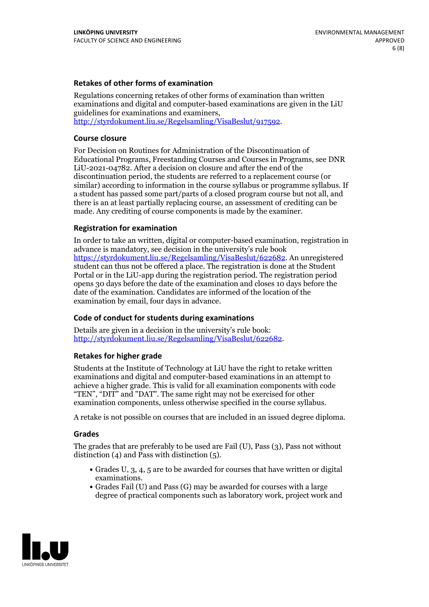### **Retakes of other forms of examination**

Regulations concerning retakes of other forms of examination than written examinations and digital and computer-based examinations are given in the LiU guidelines for examinations and examiners, [http://styrdokument.liu.se/Regelsamling/VisaBeslut/917592.](http://styrdokument.liu.se/Regelsamling/VisaBeslut/917592)

#### **Course closure**

For Decision on Routines for Administration of the Discontinuation of Educational Programs, Freestanding Courses and Courses in Programs, see DNR LiU-2021-04782. After a decision on closure and after the end of the discontinuation period, the students are referred to a replacement course (or similar) according to information in the course syllabus or programme syllabus. If a student has passed some part/parts of a closed program course but not all, and there is an at least partially replacing course, an assessment of crediting can be made. Any crediting of course components is made by the examiner.

### **Registration for examination**

In order to take an written, digital or computer-based examination, registration in advance is mandatory, see decision in the university's rule book [https://styrdokument.liu.se/Regelsamling/VisaBeslut/622682.](https://styrdokument.liu.se/Regelsamling/VisaBeslut/622682) An unregistered student can thus not be offered a place. The registration is done at the Student Portal or in the LiU-app during the registration period. The registration period opens 30 days before the date of the examination and closes 10 days before the date of the examination. Candidates are informed of the location of the examination by email, four days in advance.

### **Code of conduct for students during examinations**

Details are given in a decision in the university's rule book: <http://styrdokument.liu.se/Regelsamling/VisaBeslut/622682>.

#### **Retakes for higher grade**

Students at the Institute of Technology at LiU have the right to retake written examinations and digital and computer-based examinations in an attempt to achieve a higher grade. This is valid for all examination components with code "TEN", "DIT" and "DAT". The same right may not be exercised for other examination components, unless otherwise specified in the course syllabus.

A retake is not possible on courses that are included in an issued degree diploma.

#### **Grades**

The grades that are preferably to be used are Fail (U), Pass (3), Pass not without distinction  $(4)$  and Pass with distinction  $(5)$ .

- Grades U, 3, 4, 5 are to be awarded for courses that have written or digital examinations.<br>• Grades Fail (U) and Pass (G) may be awarded for courses with a large
- degree of practical components such as laboratory work, project work and

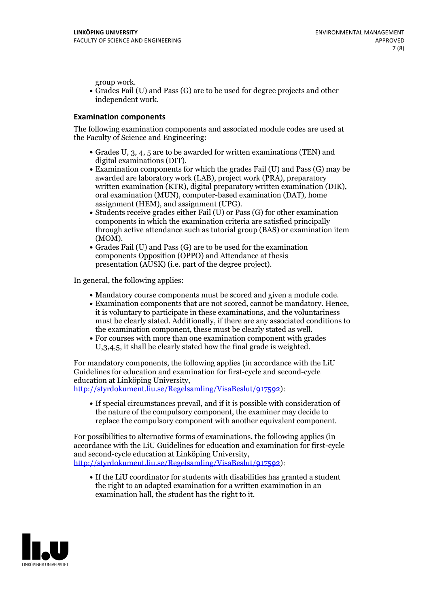group work.<br>• Grades Fail (U) and Pass (G) are to be used for degree projects and other independent work.

### **Examination components**

The following examination components and associated module codes are used at the Faculty of Science and Engineering:

- Grades U, 3, 4, 5 are to be awarded for written examinations (TEN) and
- digital examinations (DIT).<br>• Examination components for which the grades Fail (U) and Pass (G) may be awarded are laboratory work (LAB), project work (PRA), preparatory written examination (KTR), digital preparatory written examination (DIK), oral examination (MUN), computer-based examination (DAT), home
- assignment (HEM), and assignment (UPG).<br>• Students receive grades either Fail (U) or Pass (G) for other examination components in which the examination criteria are satisfied principally through active attendance such as tutorial group (BAS) or examination item
- (MOM).<br>• Grades Fail (U) and Pass (G) are to be used for the examination components Opposition (OPPO) and Attendance at thesis presentation (AUSK) (i.e. part of the degree project).

In general, the following applies:

- 
- Mandatory course components must be scored and given <sup>a</sup> module code. Examination components that are not scored, cannot be mandatory. Hence, it is voluntary to participate in these examinations, and the voluntariness must be clearly stated. Additionally, if there are any associated conditions to
- the examination component, these must be clearly stated as well.<br>• For courses with more than one examination component with grades U,3,4,5, it shall be clearly stated how the final grade is weighted.

For mandatory components, the following applies (in accordance with the LiU Guidelines for education and examination for first-cycle and second-cycle education at Linköping University,<br>[http://styrdokument.liu.se/Regelsamling/VisaBeslut/917592\)](http://styrdokument.liu.se/Regelsamling/VisaBeslut/917592):

If special circumstances prevail, and if it is possible with consideration of the nature of the compulsory component, the examiner may decide to replace the compulsory component with another equivalent component.

For possibilities to alternative forms of examinations, the following applies (in accordance with the LiU Guidelines for education and examination for first-cycle [http://styrdokument.liu.se/Regelsamling/VisaBeslut/917592\)](http://styrdokument.liu.se/Regelsamling/VisaBeslut/917592):

If the LiU coordinator for students with disabilities has granted a student the right to an adapted examination for a written examination in an examination hall, the student has the right to it.